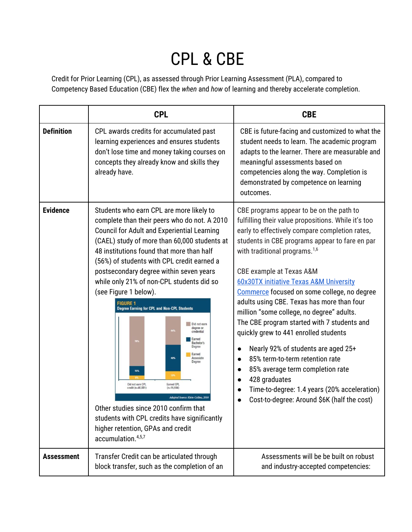## CPL & CBE

Credit for Prior Learning (CPL), as assessed through Prior Learning Assessment (PLA), compared to Competency Based Education (CBE) flex the *when* and *how* of learning and thereby accelerate completion.

|                   | <b>CPL</b>                                                                                                                                                                                                                                                                                                                                                                                                                                                                                                                                                                                                                                                                                                                                                                                                                                                                                                        | <b>CBE</b>                                                                                                                                                                                                                                                                                                                                                                                                                                                                                                                                                                                                                                                                                                                                                                                                                                                          |
|-------------------|-------------------------------------------------------------------------------------------------------------------------------------------------------------------------------------------------------------------------------------------------------------------------------------------------------------------------------------------------------------------------------------------------------------------------------------------------------------------------------------------------------------------------------------------------------------------------------------------------------------------------------------------------------------------------------------------------------------------------------------------------------------------------------------------------------------------------------------------------------------------------------------------------------------------|---------------------------------------------------------------------------------------------------------------------------------------------------------------------------------------------------------------------------------------------------------------------------------------------------------------------------------------------------------------------------------------------------------------------------------------------------------------------------------------------------------------------------------------------------------------------------------------------------------------------------------------------------------------------------------------------------------------------------------------------------------------------------------------------------------------------------------------------------------------------|
| <b>Definition</b> | CPL awards credits for accumulated past<br>learning experiences and ensures students<br>don't lose time and money taking courses on<br>concepts they already know and skills they<br>already have.                                                                                                                                                                                                                                                                                                                                                                                                                                                                                                                                                                                                                                                                                                                | CBE is future-facing and customized to what the<br>student needs to learn. The academic program<br>adapts to the learner. There are measurable and<br>meaningful assessments based on<br>competencies along the way. Completion is<br>demonstrated by competence on learning<br>outcomes.                                                                                                                                                                                                                                                                                                                                                                                                                                                                                                                                                                           |
| <b>Evidence</b>   | Students who earn CPL are more likely to<br>complete than their peers who do not. A 2010<br><b>Council for Adult and Experiential Learning</b><br>(CAEL) study of more than 60,000 students at<br>48 institutions found that more than half<br>(56%) of students with CPL credit earned a<br>postsecondary degree within seven years<br>while only 21% of non-CPL students did so<br>(see Figure 1 below).<br><b>FIGURE 1</b><br><b>Degree Earning for CPL and Non-CPL Students</b><br>Did not earn<br>degree or<br>64%<br>credential<br>Earned<br>Bachelor's<br>Degree<br>Farned<br>43%<br>Associate<br>Degree<br>15%<br>18%<br>Did not earn CPL<br>Earned CPL<br>credit (n=46,881)<br>$(n=15,594)$<br><b>Adapted Source: Klein-Collins. 201</b><br>Other studies since 2010 confirm that<br>students with CPL credits have significantly<br>higher retention, GPAs and credit<br>accumulation. <sup>4,5,7</sup> | CBE programs appear to be on the path to<br>fulfilling their value propositions. While it's too<br>early to effectively compare completion rates,<br>students in CBE programs appear to fare en par<br>with traditional programs. <sup>1,6</sup><br>CBE example at Texas A&M<br><b>60x30TX initiative Texas A&amp;M University</b><br>Commerce focused on some college, no degree<br>adults using CBE. Texas has more than four<br>million "some college, no degree" adults.<br>The CBE program started with 7 students and<br>quickly grew to 441 enrolled students<br>Nearly 92% of students are aged 25+<br>$\bullet$<br>85% term-to-term retention rate<br>$\bullet$<br>85% average term completion rate<br>$\bullet$<br>428 graduates<br>$\bullet$<br>Time-to-degree: 1.4 years (20% acceleration)<br>$\bullet$<br>Cost-to-degree: Around \$6K (half the cost) |
| <b>Assessment</b> | Transfer Credit can be articulated through<br>block transfer, such as the completion of an                                                                                                                                                                                                                                                                                                                                                                                                                                                                                                                                                                                                                                                                                                                                                                                                                        | Assessments will be be built on robust<br>and industry-accepted competencies:                                                                                                                                                                                                                                                                                                                                                                                                                                                                                                                                                                                                                                                                                                                                                                                       |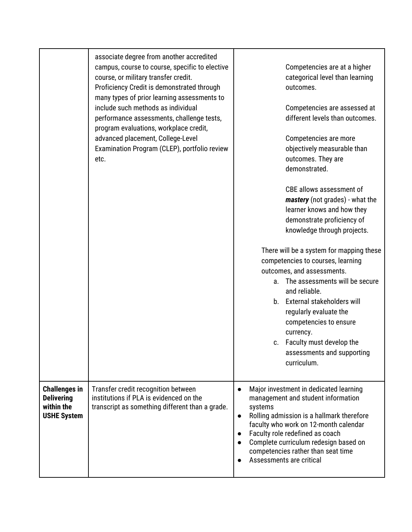|                                                                               | associate degree from another accredited<br>campus, course to course, specific to elective<br>course, or military transfer credit.<br>Proficiency Credit is demonstrated through<br>many types of prior learning assessments to<br>include such methods as individual<br>performance assessments, challenge tests,<br>program evaluations, workplace credit,<br>advanced placement, College-Level<br>Examination Program (CLEP), portfolio review<br>etc. | Competencies are at a higher<br>categorical level than learning<br>outcomes.<br>Competencies are assessed at<br>different levels than outcomes.<br>Competencies are more<br>objectively measurable than<br>outcomes. They are<br>demonstrated.<br>CBE allows assessment of<br><i>mastery</i> (not grades) - what the<br>learner knows and how they<br>demonstrate proficiency of<br>knowledge through projects.<br>There will be a system for mapping these<br>competencies to courses, learning<br>outcomes, and assessments.<br>The assessments will be secure<br>a.<br>and reliable.<br>b. External stakeholders will<br>regularly evaluate the<br>competencies to ensure<br>currency.<br>c. Faculty must develop the<br>assessments and supporting<br>curriculum. |
|-------------------------------------------------------------------------------|-----------------------------------------------------------------------------------------------------------------------------------------------------------------------------------------------------------------------------------------------------------------------------------------------------------------------------------------------------------------------------------------------------------------------------------------------------------|-----------------------------------------------------------------------------------------------------------------------------------------------------------------------------------------------------------------------------------------------------------------------------------------------------------------------------------------------------------------------------------------------------------------------------------------------------------------------------------------------------------------------------------------------------------------------------------------------------------------------------------------------------------------------------------------------------------------------------------------------------------------------|
| <b>Challenges in</b><br><b>Delivering</b><br>within the<br><b>USHE System</b> | Transfer credit recognition between<br>institutions if PLA is evidenced on the<br>transcript as something different than a grade.                                                                                                                                                                                                                                                                                                                         | Major investment in dedicated learning<br>$\bullet$<br>management and student information<br>systems<br>Rolling admission is a hallmark therefore<br>$\bullet$<br>faculty who work on 12-month calendar<br>Faculty role redefined as coach<br>$\bullet$<br>Complete curriculum redesign based on<br>competencies rather than seat time<br>Assessments are critical<br>$\bullet$                                                                                                                                                                                                                                                                                                                                                                                       |